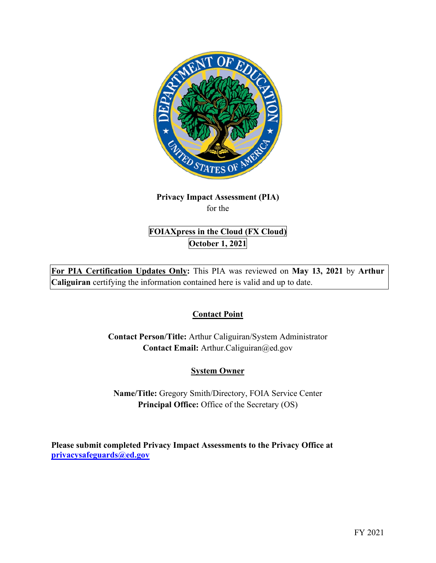

# **Privacy Impact Assessment (PIA)**  for the

# **FOIAXpress in the Cloud (FX Cloud) October 1, 2021**

 **For PIA Certification Updates Only:** This PIA was reviewed on **May 13, 2021** by **Arthur Caliguiran** certifying the information contained here is valid and up to date.

# **Contact Point**

**Contact Person/Title:** Arthur Caliguiran/System Administrator **Contact Email:** [Arthur.Caliguiran@ed.gov](mailto:Arthur.Caliguiran@ed.gov) 

# **System Owner**

**Name/Title:** Gregory Smith/Directory, FOIA Service Center **Principal Office:** Office of the Secretary (OS)

 **[privacysafeguards@ed.gov](mailto:privacysafeguards@ed.gov) Please submit completed Privacy Impact Assessments to the Privacy Office at**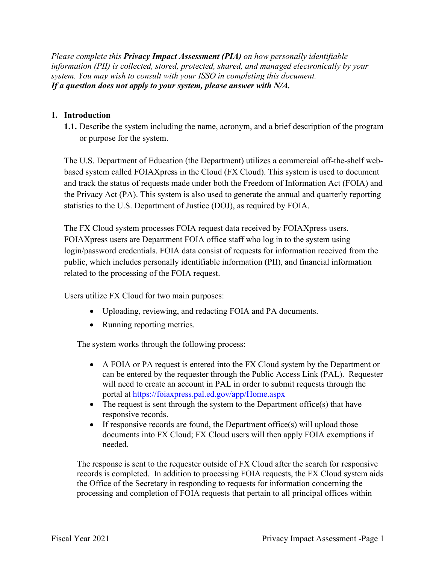*Please complete this Privacy Impact Assessment (PIA) on how personally identifiable information (PII) is collected, stored, protected, shared, and managed electronically by your system. You may wish to consult with your ISSO in completing this document. If a question does not apply to your system, please answer with N/A.* 

## **1. Introduction**

 **1.1.** Describe the system including the name, acronym, and a brief description of the program or purpose for the system.

The U.S. Department of Education (the Department) utilizes a commercial off-the-shelf webbased system called FOIAXpress in the Cloud (FX Cloud). This system is used to document and track the status of requests made under both the Freedom of Information Act (FOIA) and the Privacy Act (PA). This system is also used to generate the annual and quarterly reporting statistics to the U.S. Department of Justice (DOJ), as required by FOIA.

 The FX Cloud system processes FOIA request data received by FOIAXpress users. FOIAXpress users are Department FOIA office staff who log in to the system using login/password credentials. FOIA data consist of requests for information received from the public, which includes personally identifiable information (PII), and financial information related to the processing of the FOIA request.

Users utilize FX Cloud for two main purposes:

- Uploading, reviewing, and redacting FOIA and PA documents.
- Running reporting metrics.

The system works through the following process:

- A FOIA or PA request is entered into the FX Cloud system by the Department or can be entered by the requester through the Public Access Link (PAL). Requester will need to create an account in PAL in order to submit requests through the portal at <https://foiaxpress.pal.ed.gov/app/Home.aspx>
- The request is sent through the system to the Department office(s) that have responsive records.
- • If responsive records are found, the Department office(s) will upload those documents into FX Cloud; FX Cloud users will then apply FOIA exemptions if needed.

 records is completed. In addition to processing FOIA requests, the FX Cloud system aids The response is sent to the requester outside of FX Cloud after the search for responsive the Office of the Secretary in responding to requests for information concerning the processing and completion of FOIA requests that pertain to all principal offices within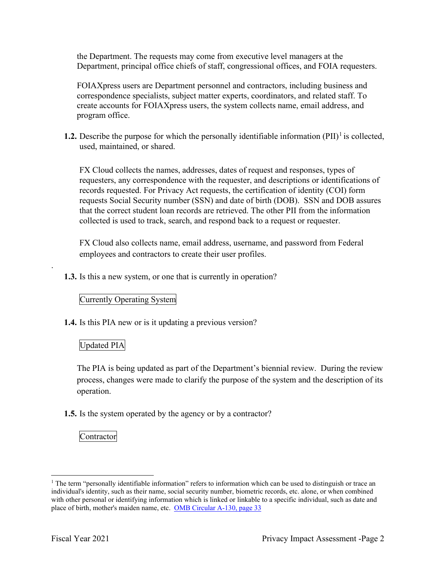the Department. The requests may come from executive level managers at the

 Department, principal office chiefs of staff, congressional offices, and FOIA requesters. FOIAXpress users are Department personnel and contractors, including business and correspondence specialists, subject matter experts, coordinators, and related staff. To create accounts for FOIAXpress users, the system collects name, email address, and program office.

**1.2.** Describe the purpose for which the personally identifiable information  $(PII)^{1}$  is collected, used, maintained, or shared.

 requests Social Security number (SSN) and date of birth (DOB). SSN and DOB assures that the correct student loan records are retrieved. The other PII from the information collected is used to track, search, and respond back to a request or requester. FX Cloud collects the names, addresses, dates of request and responses, types of requesters, any correspondence with the requester, and descriptions or identifications of records requested. For Privacy Act requests, the certification of identity (COI) form

FX Cloud also collects name, email address, username, and password from Federal employees and contractors to create their user profiles.

**1.3.** Is this a new system, or one that is currently in operation?

### Currently Operating System

**1.4.** Is this PIA new or is it updating a previous version?

## Updated PIA

.

 process, changes were made to clarify the purpose of the system and the description of its The PIA is being updated as part of the Department's biennial review. During the review operation.

**1.5.** Is the system operated by the agency or by a contractor?

Contractor

place of birth, mother's maiden name, etc. OMB Circular A-130, page 33 <sup>1</sup> The term "personally identifiable information" refers to information which can be used to distinguish or trace an individual's identity, such as their name, social security number, biometric records, etc. alone, or when combined with other personal or identifying information which is linked or linkable to a specific individual, such as date and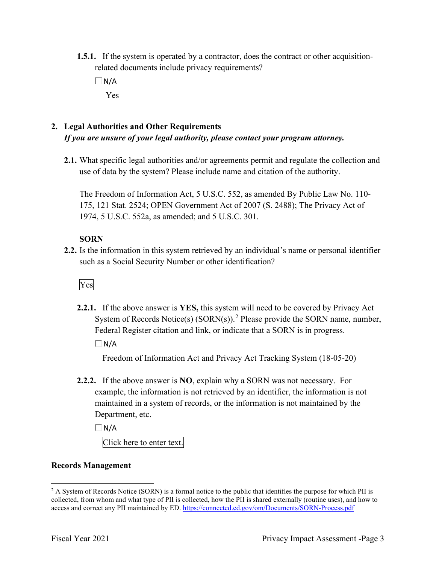- **1.5.1.** If the system is operated by a contractor, does the contract or other acquisitionrelated documents include privacy requirements?
	- $\Box$  N/A Yes

# **2. Legal Authorities and Other Requirements**  *If you are unsure of your legal authority, please contact your program attorney.*

**2.1.** What specific legal authorities and/or agreements permit and regulate the collection and use of data by the system? Please include name and citation of the authority.

 1974, 5 U.S.C. 552a, as amended; and 5 U.S.C. 301. The Freedom of Information Act, 5 U.S.C. 552, as amended By Public Law No. 110- 175, 121 Stat. 2524; OPEN Government Act of 2007 (S. 2488); The Privacy Act of

## **SORN**

such as a Social Security Number or other identification?<br>Ves **2.2.** Is the information in this system retrieved by an individual's name or personal identifier

**2.2.1.** If the above answer is **YES,** this system will need to be covered by Privacy Act System of Records Notice(s)  $(SORN(s))$ .<sup>2</sup> Please provide the SORN name, number, Federal Register citation and link, or indicate that a SORN is in progress.

 $\Box$ N/A

Freedom of Information Act and Privacy Act Tracking System (18-05-20)

 **2.2.2.** If the above answer is **NO**, explain why a SORN was not necessary. For Department, etc. example, the information is not retrieved by an identifier, the information is not maintained in a system of records, or the information is not maintained by the

 $\Box$ N/A

Click here to enter text.

# **Records Management**

access and correct any PII maintained by ED. https://connected.ed.gov/om/Documents/SORN-Process.pdf<br>Fiscal Year 2021 Privacy Impact Assessment -Page 3  $2$  A System of Records Notice (SORN) is a formal notice to the public that identifies the purpose for which PII is collected, from whom and what type of PII is collected, how the PII is shared externally (routine uses), and how to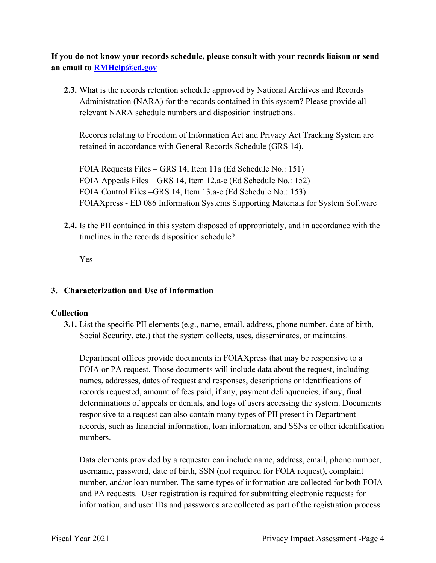**If you do not know your records schedule, please consult with your records liaison or send an email to [RMHelp@ed.gov](mailto:RMHelp@ed.gov)** 

 **2.3.** What is the records retention schedule approved by National Archives and Records Administration (NARA) for the records contained in this system? Please provide all relevant NARA schedule numbers and disposition instructions.

Records relating to Freedom of Information Act and Privacy Act Tracking System are retained in accordance with General Records Schedule (GRS 14).

FOIA Requests Files – GRS 14, Item 11a (Ed Schedule No.: 151) FOIA Appeals Files – GRS 14, Item 12.a-c (Ed Schedule No.: 152) FOIA Control Files –GRS 14, Item 13.a-c (Ed Schedule No.: 153) FOIAXpress - ED 086 Information Systems Supporting Materials for System Software

**2.4.** Is the PII contained in this system disposed of appropriately, and in accordance with the timelines in the records disposition schedule?

Yes

### **3. Characterization and Use of Information**

### **Collection**

**3.1.** List the specific PII elements (e.g., name, email, address, phone number, date of birth, Social Security, etc.) that the system collects, uses, disseminates, or maintains.

 records requested, amount of fees paid, if any, payment delinquencies, if any, final determinations of appeals or denials, and logs of users accessing the system. Documents Department offices provide documents in FOIAXpress that may be responsive to a FOIA or PA request. Those documents will include data about the request, including names, addresses, dates of request and responses, descriptions or identifications of responsive to a request can also contain many types of PII present in Department records, such as financial information, loan information, and SSNs or other identification numbers.

 information, and user IDs and passwords are collected as part of the registration process. Data elements provided by a requester can include name, address, email, phone number, username, password, date of birth, SSN (not required for FOIA request), complaint number, and/or loan number. The same types of information are collected for both FOIA and PA requests. User registration is required for submitting electronic requests for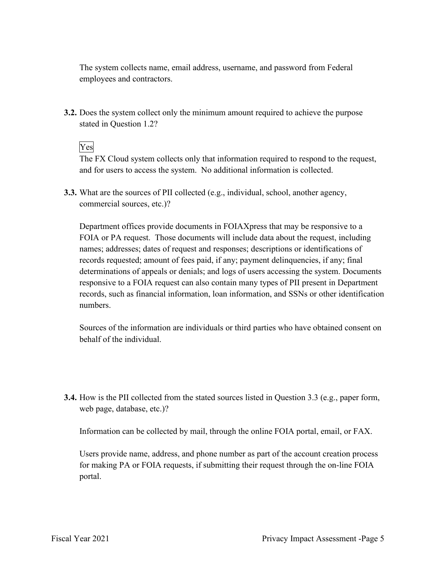The system collects name, email address, username, and password from Federal employees and contractors.

stated in Question 1.2?<br>Yes **3.2.** Does the system collect only the minimum amount required to achieve the purpose

The FX Cloud system collects only that information required to respond to the request, and for users to access the system. No additional information is collected.

**3.3.** What are the sources of PII collected (e.g., individual, school, another agency, commercial sources, etc.)?

 FOIA or PA request. Those documents will include data about the request, including records requested; amount of fees paid, if any; payment delinquencies, if any; final responsive to a FOIA request can also contain many types of PII present in Department Department offices provide documents in FOIAXpress that may be responsive to a names; addresses; dates of request and responses; descriptions or identifications of determinations of appeals or denials; and logs of users accessing the system. Documents records, such as financial information, loan information, and SSNs or other identification numbers.

 Sources of the information are individuals or third parties who have obtained consent on behalf of the individual.

 **3.4.** How is the PII collected from the stated sources listed in Question 3.3 (e.g., paper form, web page, database, etc.)?

Information can be collected by mail, through the online FOIA portal, email, or FAX.

Users provide name, address, and phone number as part of the account creation process for making PA or FOIA requests, if submitting their request through the on-line FOIA portal.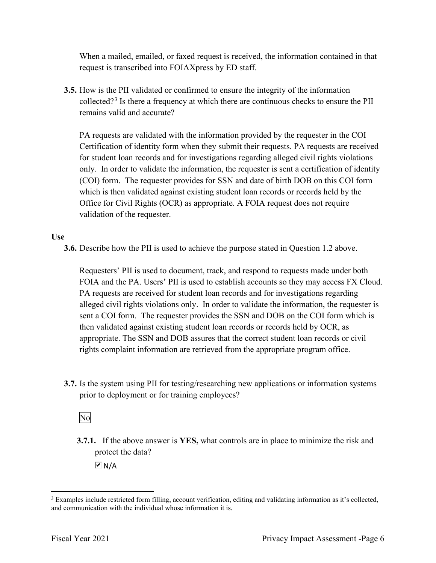When a mailed, emailed, or faxed request is received, the information contained in that request is transcribed into FOIAXpress by ED staff.

**3.5.** How is the PII validated or confirmed to ensure the integrity of the information collected?<sup>3</sup> Is there a frequency at which there are continuous checks to ensure the PII remains valid and accurate?

 PA requests are validated with the information provided by the requester in the COI Certification of identity form when they submit their requests. PA requests are received (COI) form. The requester provides for SSN and date of birth DOB on this COI form which is then validated against existing student loan records or records held by the Office for Civil Rights (OCR) as appropriate. A FOIA request does not require for student loan records and for investigations regarding alleged civil rights violations only. In order to validate the information, the requester is sent a certification of identity validation of the requester.

### **Use**

**3.6.** Describe how the PII is used to achieve the purpose stated in Question 1.2 above.

 PA requests are received for student loan records and for investigations regarding appropriate. The SSN and DOB assures that the correct student loan records or civil rights complaint information are retrieved from the appropriate program office. Requesters' PII is used to document, track, and respond to requests made under both FOIA and the PA. Users' PII is used to establish accounts so they may access FX Cloud. alleged civil rights violations only. In order to validate the information, the requester is sent a COI form. The requester provides the SSN and DOB on the COI form which is then validated against existing student loan records or records held by OCR, as

 **3.7.** Is the system using PII for testing/researching new applications or information systems prior to deployment or for training employees?<br>No

**3.7.1.** If the above answer is **YES,** what controls are in place to minimize the risk and protect the data?

 $\overline{M}$  N/A

and communication with the individual whose information it is. <sup>3</sup> Examples include restricted form filling, account verification, editing and validating information as it's collected, and communication with the individual whose information it is.<br>Fiscal Year 2021 Privacy Impact Assessment -Page 6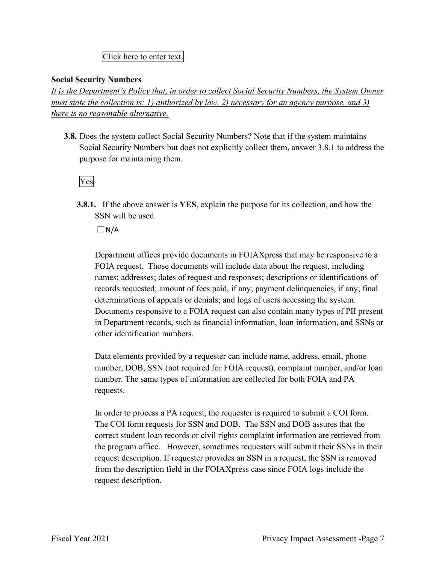## Click here to enter text.

### **Social Security Numbers**

*It is the Department's Policy that, in order to collect Social Security Numbers, the System Owner must state the collection is: 1) authorized by law, 2) necessary for an agency purpose, and 3) there is no reasonable alternative.* 

 **3.8.** Does the system collect Social Security Numbers? Note that if the system maintains Social Security Numbers but does not explicitly collect them, answer 3.8.1 to address the purpose for maintaining them.

Yes

**3.8.1.** If the above answer is **YES**, explain the purpose for its collection, and how the SSN will be used.

 $\Box$ N/A

Department offices provide documents in FOIAXpress that may be responsive to a FOIA request. Those documents will include data about the request, including names; addresses; dates of request and responses; descriptions or identifications of records requested; amount of fees paid, if any; payment delinquencies, if any; final determinations of appeals or denials; and logs of users accessing the system. Documents responsive to a FOIA request can also contain many types of PII present in Department records, such as financial information, loan information, and SSNs or other identification numbers.

 number. The same types of information are collected for both FOIA and PA Data elements provided by a requester can include name, address, email, phone number, DOB, SSN (not required for FOIA request), complaint number, and/or loan requests.

 In order to process a PA request, the requester is required to submit a COI form. the program office. However, sometimes requesters will submit their SSNs in their from the description field in the FOIAXpress case since FOIA logs include the The COI form requests for SSN and DOB. The SSN and DOB assures that the correct student loan records or civil rights complaint information are retrieved from request description. If requester provides an SSN in a request, the SSN is removed request description.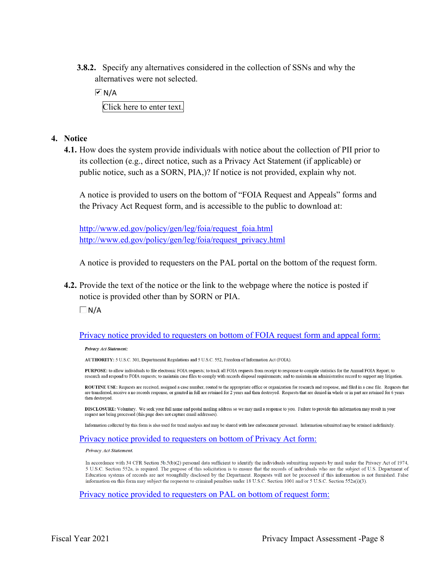**3.8.2.** Specify any alternatives considered in the collection of SSNs and why the alternatives were not selected.

 $\overline{M}$  N/A Click here to enter text.

- **4. Notice** 
	- its collection (e.g., direct notice, such as a Privacy Act Statement (if applicable) or public notice, such as a SORN, PIA,)? If notice is not provided, explain why not. **4.1.** How does the system provide individuals with notice about the collection of PII prior to

 A notice is provided to users on the bottom of "FOIA Request and Appeals" forms and the Privacy Act Request form, and is accessible to the public to download at:

http://www.ed.gov/policy/gen/leg/foia/request foia.html http://www.ed.gov/policy/gen/leg/foia/request\_privacy.html

A notice is provided to requesters on the PAL portal on the bottom of the request form.

**4.2.** Provide the text of the notice or the link to the webpage where the notice is posted if notice is provided other than by SORN or PIA.

 $\Box$ N/A

### Privacy notice provided to requesters on bottom of FOIA request form and appeal form:

Privacy Act Statement:

AUTHORITY: 5 U.S.C. 301, Departmental Regulations and 5 U.S.C. 552, Freedom of Information Act (FOIA).

PURPOSE: to allow individuals to file electronic FOIA requests; to track all FOIA requests from receipt to response to compile statistics for the Annual FOIA Report; to research and respond to FOIA requests; to maintain case files to comply with records disposal requirements; and to maintain an administrative record to support any litigation.

ROUTINE USE: Requests are received, assigned a case number, routed to the appropriate office or organization for research and response, and filed in a case file. Requests that are transferred, receive a no records response, or granted in full are retained for 2 years and then destroyed. Requests that are denied in whole or in part are retained for 6 years then destroyed

DISCLOSURE: Voluntary. We seek your full name and postal mailing address so we may mail a response to you. Failure to provide this information may result in your request not being processed (this page does not capture email addresses)

Information collected by this form is also used for trend analysis and may be shared with law enforcement personnel. Information submitted may be retained indefinitely.

### Privacy notice provided to requesters on bottom of Privacy Act form:

Privacy Act Statement.

In accordance with 34 CFR Section 5b.5(b)(2) personal data sufficient to identify the individuals submitting requests by mail under the Privacy Act of 1974, 5 U.S.C. Section 552a, is required. The purpose of this solicitation is to ensure that the records of individuals who are the subject of U.S. Department of Education systems of records are not wrongfully disclosed by the Department. Requests will not be processed if this information is not furnished. False information on this form may subject the requester to criminal penalties under 18 U.S.C. Section 1001 and/or 5 U.S.C. Section 552a(i)(3).

Privacy notice provided to requesters on PAL on bottom of request form: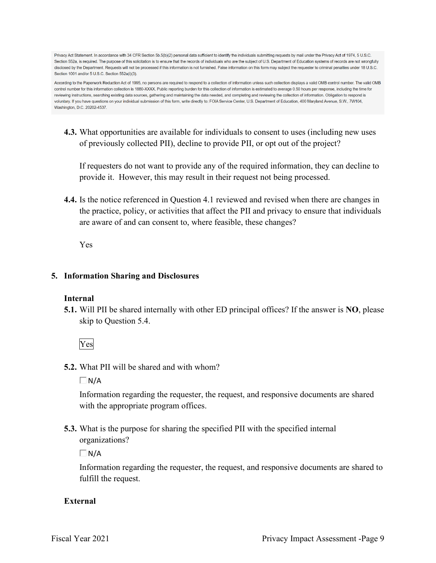Privacy Act Statement. In accordance with 34 CFR Section 5b.5(b)(2) personal data sufficient to identify the individuals submitting requests by mail under the Privacy Act of 1974, 5 U.S.C. Section 552a, is required. The purpose of this solicitation is to ensure that the records of individuals who are the subject of U.S. Department of Education systems of records are not wrongfully disclosed by the Department. Requests will not be processed if this information is not furnished. False information on this form may subject the requester to criminal penalties under 18 U.S.C. Section 1001 and/or 5 U.S.C. Section 552a(i)(3).

According to the Paperwork Reduction Act of 1995, no persons are required to respond to a collection of information unless such collection displays a valid OMB control number. The valid OMB control number for this information collection is 1880-XXXX. Public reporting burden for this collection of information is estimated to average 0.50 hours per response, including the time for reviewing instructions, searching existing data sources, gathering and maintaining the data needed, and completing and reviewing the collection of information. Obligation to respond is voluntary. If you have questions on your individual submission of this form, write directly to: FOIA Service Center, U.S. Department of Education, 400 Maryland Avenue, S.W., 7W104, Washington, D.C. 20202-4537.

 **4.3.** What opportunities are available for individuals to consent to uses (including new uses of previously collected PII), decline to provide PII, or opt out of the project?

 If requesters do not want to provide any of the required information, they can decline to provide it. However, this may result in their request not being processed.

 are aware of and can consent to, where feasible, these changes? **4.4.** Is the notice referenced in Question 4.1 reviewed and revised when there are changes in the practice, policy, or activities that affect the PII and privacy to ensure that individuals

Yes

### **5. Information Sharing and Disclosures**

### **Internal**

 **5.1.** Will PII be shared internally with other ED principal offices? If the answer is **NO**, please skip to Question 5.4.

Yes

**5.2.** What PII will be shared and with whom?

 $\Box$ N/A

Information regarding the requester, the request, and responsive documents are shared with the appropriate program offices.

 organizations? **5.3.** What is the purpose for sharing the specified PII with the specified internal

 $\Box$ N/A

Information regarding the requester, the request, and responsive documents are shared to fulfill the request.

## **External**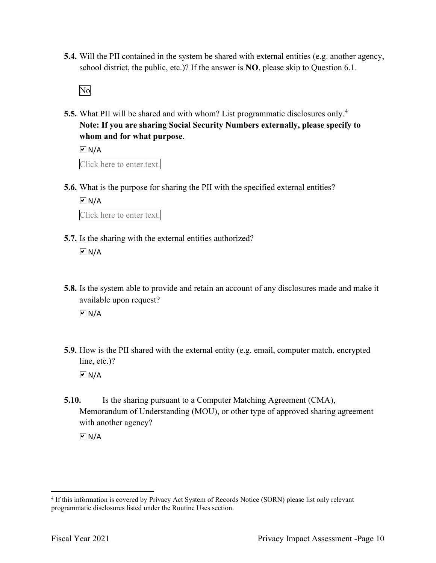**5.4.** Will the PII contained in the system be shared with external entities (e.g. another agency, school district, the public, etc.)? If the answer is **NO**, please skip to Question 6.1.

No

 **5.5.** What PII will be shared and with whom? List programmatic disclosures only.<sup>4</sup> **Note: If you are sharing Social Security Numbers externally, please specify to whom and for what purpose**.

 Click here to enter text.  $\overline{M}$  N/A

**5.6.** What is the purpose for sharing the PII with the specified external entities?

 $\overline{M}N/A$ 

Click here to enter text.

**5.7.** Is the sharing with the external entities authorized?

 $\boxed{\triangleright}$  N/A

- **5.8.** Is the system able to provide and retain an account of any disclosures made and make it available upon request?  $\overline{M}$  N/A
- **5.9.** How is the PII shared with the external entity (e.g. email, computer match, encrypted line, etc.)?  $\overline{M}$  N/A
- **5.10.** Is the sharing pursuant to a Computer Matching Agreement (CMA), Memorandum of Understanding (MOU), or other type of approved sharing agreement with another agency?

 $\overline{M}$  N/A

<sup>&</sup>lt;sup>4</sup> If this information is covered by Privacy Act System of Records Notice (SORN) please list only relevant programmatic disclosures listed under the Routine Uses section.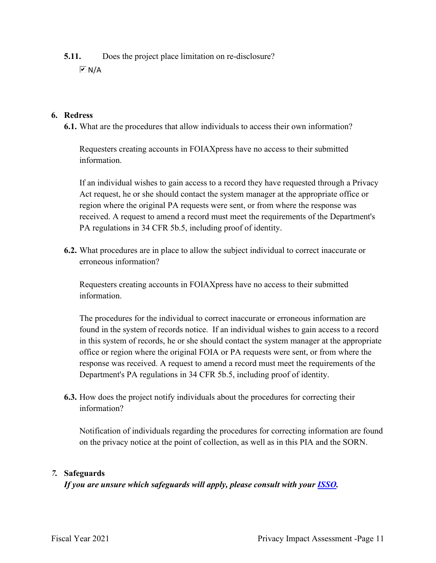**5.11.** Does the project place limitation on re-disclosure?

 $\boxed{v}$  N/A

## **6. Redress**

**6.1.** What are the procedures that allow individuals to access their own information?

Requesters creating accounts in FOIAXpress have no access to their submitted information.

 Act request, he or she should contact the system manager at the appropriate office or If an individual wishes to gain access to a record they have requested through a Privacy region where the original PA requests were sent, or from where the response was received. A request to amend a record must meet the requirements of the Department's PA regulations in 34 CFR 5b.5, including proof of identity.

**6.2.** What procedures are in place to allow the subject individual to correct inaccurate or erroneous information?

Requesters creating accounts in FOIAXpress have no access to their submitted information.

 found in the system of records notice. If an individual wishes to gain access to a record The procedures for the individual to correct inaccurate or erroneous information are in this system of records, he or she should contact the system manager at the appropriate office or region where the original FOIA or PA requests were sent, or from where the response was received. A request to amend a record must meet the requirements of the Department's PA regulations in 34 CFR 5b.5, including proof of identity.

**6.3.** How does the project notify individuals about the procedures for correcting their information?

Notification of individuals regarding the procedures for correcting information are found on the privacy notice at the point of collection, as well as in this PIA and the SORN.

## *7.* **Safeguards**

 *If you are unsure which safeguards will apply, please consult with your ISSO.*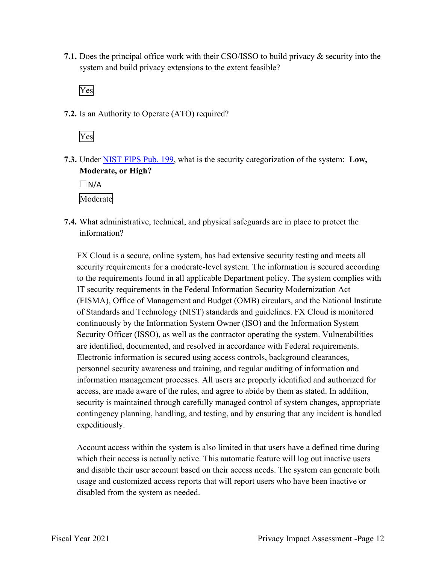system and build privacy extensions to the extent feasible? **7.1.** Does the principal office work with their CSO/ISSO to build privacy & security into the

Yes

**7.2.** Is an Authority to Operate (ATO) required?



**7.3.** Under NIST FIPS Pub. 199, what is the security categorization of the system: **Low, Moderate, or High?** 

 $\Box$ N/A

Moderate

**7.4.** What administrative, technical, and physical safeguards are in place to protect the information?

 FX Cloud is a secure, online system, has had extensive security testing and meets all continuously by the Information System Owner (ISO) and the Information System security requirements for a moderate-level system. The information is secured according to the requirements found in all applicable Department policy. The system complies with IT security requirements in the Federal Information Security Modernization Act (FISMA), Office of Management and Budget (OMB) circulars, and the National Institute of Standards and Technology (NIST) standards and guidelines. FX Cloud is monitored Security Officer (ISSO), as well as the contractor operating the system. Vulnerabilities are identified, documented, and resolved in accordance with Federal requirements. Electronic information is secured using access controls, background clearances, personnel security awareness and training, and regular auditing of information and information management processes. All users are properly identified and authorized for access, are made aware of the rules, and agree to abide by them as stated. In addition, security is maintained through carefully managed control of system changes, appropriate contingency planning, handling, and testing, and by ensuring that any incident is handled expeditiously.

Account access within the system is also limited in that users have a defined time during which their access is actually active. This automatic feature will log out inactive users and disable their user account based on their access needs. The system can generate both usage and customized access reports that will report users who have been inactive or disabled from the system as needed.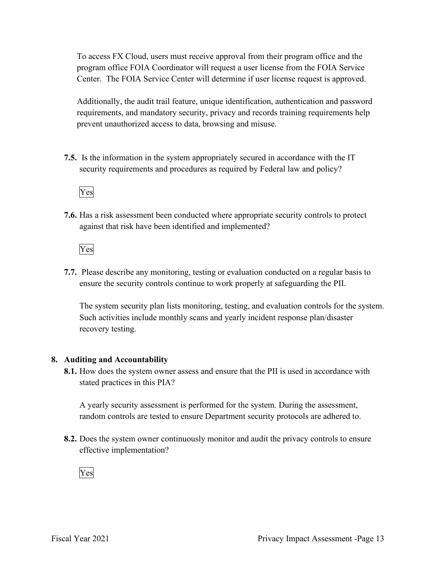To access FX Cloud, users must receive approval from their program office and the program office FOIA Coordinator will request a user license from the FOIA Service Center. The FOIA Service Center will determine if user license request is approved.

Additionally, the audit trail feature, unique identification, authentication and password requirements, and mandatory security, privacy and records training requirements help prevent unauthorized access to data, browsing and misuse.

 security requirements and procedures as required by Federal law and policy? **7.5.** Is the information in the system appropriately secured in accordance with the IT



**7.6.** Has a risk assessment been conducted where appropriate security controls to protect against that risk have been identified and implemented?

Yes

 ensure the security controls continue to work properly at safeguarding the PII. **7.7.** Please describe any monitoring, testing or evaluation conducted on a regular basis to

The system security plan lists monitoring, testing, and evaluation controls for the system. Such activities include monthly scans and yearly incident response plan/disaster recovery testing.

### **8. Auditing and Accountability**

 **8.1.** How does the system owner assess and ensure that the PII is used in accordance with stated practices in this PIA?

A yearly security assessment is performed for the system. During the assessment, random controls are tested to ensure Department security protocols are adhered to.

 **8.2.** Does the system owner continuously monitor and audit the privacy controls to ensure effective implementation?